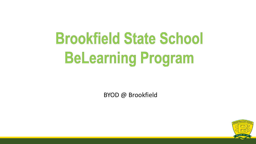# **Brookfield State School BeLearning Program**

BYOD @ Brookfield

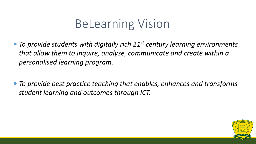## BeLearning Vision

- *To provide students with digitally rich 21st century learning environments that allow them to inquire, analyse, communicate and create within a personalised learning program.*
- *To provide best practice teaching that enables, enhances and transforms student learning and outcomes through ICT.*

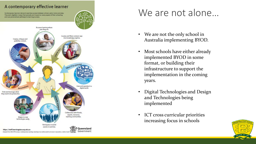#### A contemporary effective learner

Contemporary learners demand seamless access between school, work, home and play They work digitally in ways that pervade and impact on every aspect of their schooling and use personalised pathways to learning success.



#### We are not alone…

- We are not the only school in Australia implementing BYOD.
- Most schools have either already implemented BYOD in some format, or building their infrastructure to support the implementation in the coming years.
- Digital Technologies and Design and Technologies being implemented
- ICT cross curricular priorities increasing focus in schools

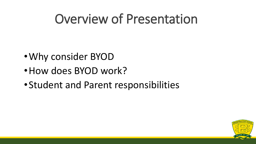## Overview of Presentation

- •Why consider BYOD
- •How does BYOD work?
- •Student and Parent responsibilities

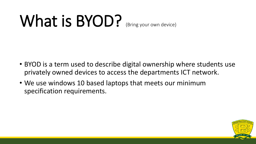# What is BYOD? (Bring your own device)

- BYOD is a term used to describe digital ownership where students use privately owned devices to access the departments ICT network.
- We use windows 10 based laptops that meets our minimum specification requirements.

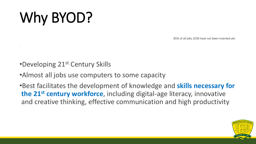## Why BYOD?

.

85% of all jobs 2030 have not been invented yet

- •Developing 21<sup>st</sup> Century Skills
- •Almost all jobs use computers to some capacity
- •Best facilitates the development of knowledge and **skills necessary for the 21st century workforce**, including digital-age literacy, innovative and creative thinking, effective communication and high productivity

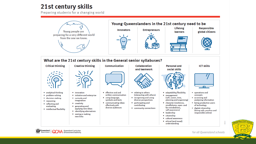#### 21st century skills

Government

Preparing students for a changing world



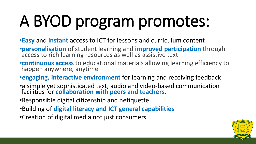# A BYOD program promotes:

- •**Easy** and **instant** access to ICT for lessons and curriculum content
- •**personalisation** of student learning and **improved participation** through access to rich learning resources as well as assistive text
- •**continuous access** to educational materials allowing learning efficiency to happen anywhere, anytime
- •**engaging, interactive environment** for learning and receiving feedback
- •a simple yet sophisticated text, audio and video-based communication facilities for **collaboration with peers and teachers**.
- •Responsible digital citizenship and netiquette
- •Building of **digital literacy and ICT general capabilities**
- •Creation of digital media not just consumers

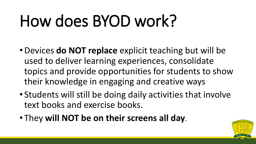# How does BYOD work?

- •Devices **do NOT replace** explicit teaching but will be used to deliver learning experiences, consolidate topics and provide opportunities for students to show their knowledge in engaging and creative ways
- Students will still be doing daily activities that involve text books and exercise books.
- They **will NOT be on their screens all day**.

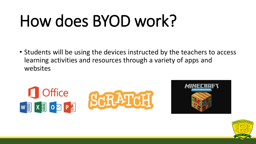# How does BYOD work?

• Students will be using the devices instructed by the teachers to access learning activities and resources through a variety of apps and websites



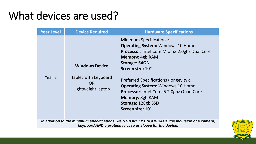### What devices are used?

| <b>Year Level</b> | <b>Device Required</b>                           | <b>Hardware Specifications</b>                                                                                                                                                                                                       |
|-------------------|--------------------------------------------------|--------------------------------------------------------------------------------------------------------------------------------------------------------------------------------------------------------------------------------------|
|                   | <b>Windows Device</b>                            | <b>Minimum Specifications:</b><br><b>Operating System: Windows 10 Home</b><br><b>Processor:</b> Intel Core M or i3 2.0ghz Dual Core<br>Memory: 4gb RAM<br>Storage: 64GB                                                              |
| Year <sub>3</sub> | Tablet with keyboard<br>OR<br>Lightweight laptop | Screen size: 10"<br><b>Preferred Specifications (longevity):</b><br><b>Operating System: Windows 10 Home</b><br><b>Processor:</b> Intel Core i5 2.0ghz Quad Core<br><b>Memory: 8gb RAM</b><br>Storage: 128gb SSD<br>Screen size: 10" |

*In addition to the minimum specifications, we STRONGLY ENCOURAGE the inclusion of a camera, keyboard AND a protective case or sleeve for the device.*

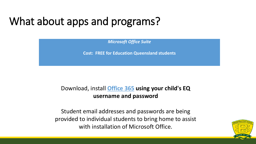### What about apps and programs?

*Microsoft Office Suite*

**Cost: FREE for Education Queensland students**

#### Download, install **[Office 365](http://portal.office.com/) using your child's EQ username and password**

Student email addresses and passwords are being provided to individual students to bring home to assist with installation of Microsoft Office.

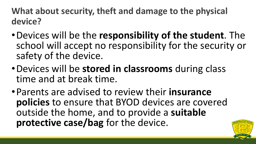**What about security, theft and damage to the physical device?**

- •Devices will be the **responsibility of the student**. The school will accept no responsibility for the security or safety of the device.
- •Devices will be **stored in classrooms** during class time and at break time.
- •Parents are advised to review their **insurance policies** to ensure that BYOD devices are covered outside the home, and to provide a **suitable protective case/bag** for the device.

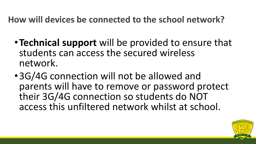**How will devices be connected to the school network?**

- •**Technical support** will be provided to ensure that students can access the secured wireless network.
- •3G/4G connection will not be allowed and parents will have to remove or password protect their 3G/4G connection so students do NOT access this unfiltered network whilst at school.

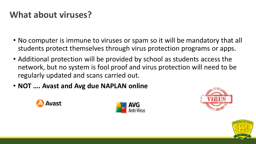#### **What about viruses?**

- No computer is immune to viruses or spam so it will be mandatory that all students protect themselves through virus protection programs or apps.
- Additional protection will be provided by school as students access the network, but no system is fool proof and virus protection will need to be regularly updated and scans carried out.
- **NOT …. Avast and Avg due NAPLAN online**







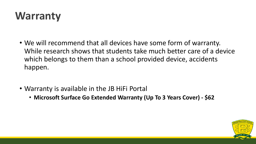### **Warranty**

- We will recommend that all devices have some form of warranty. While research shows that students take much better care of a device which belongs to them than a school provided device, accidents happen.
- Warranty is available in the JB HiFi Portal
	- **Microsoft Surface Go Extended Warranty (Up To 3 Years Cover) - \$62**

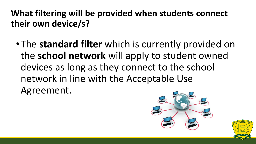**What filtering will be provided when students connect their own device/s?**

•The **standard filter** which is currently provided on the **school network** will apply to student owned devices as long as they connect to the school network in line with the Acceptable Use Agreement.



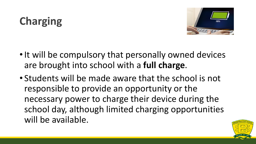## **Charging**



- It will be compulsory that personally owned devices are brought into school with a **full charge**.
- Students will be made aware that the school is not responsible to provide an opportunity or the necessary power to charge their device during the school day, although limited charging opportunities will be available.

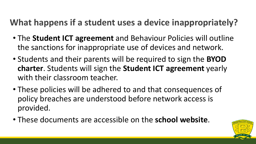### **What happens if a student uses a device inappropriately?**

- The **Student ICT agreement** and Behaviour Policies will outline the sanctions for inappropriate use of devices and network.
- Students and their parents will be required to sign the **BYOD charter**. Students will sign the **Student ICT agreement** yearly with their classroom teacher.
- These policies will be adhered to and that consequences of policy breaches are understood before network access is provided.
- These documents are accessible on the **school website**.

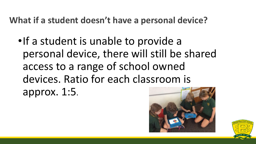**What if a student doesn't have a personal device?**

•If a student is unable to provide a personal device, there will still be shared access to a range of school owned devices. Ratio for each classroom is approx. 1:5.



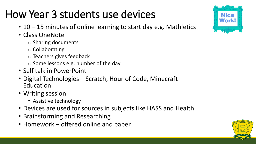## How Year 3 students use devices

- 10 15 minutes of online learning to start day e.g. Mathletics
- Class OneNote
	- o Sharing documents
	- o Collaborating
	- o Teachers gives feedback
	- o Some lessons e.g. number of the day
- Self talk in PowerPoint
- Digital Technologies Scratch, Hour of Code, Minecraft Education
- Writing session
	- Assistive technology
- Devices are used for sources in subjects like HASS and Health
- Brainstorming and Researching
- Homework offered online and paper



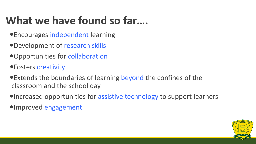### **What we have found so far….**

- Encourages independent learning
- Development of research skills
- Opportunities for collaboration
- Fosters creativity
- Extends the boundaries of learning beyond the confines of the classroom and the school day
- Increased opportunities for assistive technology to support learners
- Improved engagement

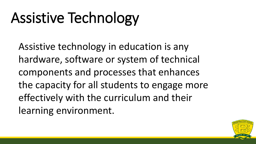## Assistive Technology

Assistive technology in education is any hardware, software or system of technical components and processes that enhances the capacity for all students to engage more effectively with the curriculum and their learning environment.

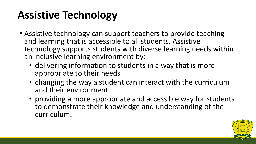### **Assistive Technology**

- Assistive technology can support teachers to provide teaching and learning that is accessible to all students. Assistive technology supports students with diverse learning needs within an inclusive learning environment by:
	- delivering information to students in a way that is more appropriate to their needs
	- changing the way a student can interact with the curriculum and their environment
	- providing a more appropriate and accessible way for students to demonstrate their knowledge and understanding of the curriculum.

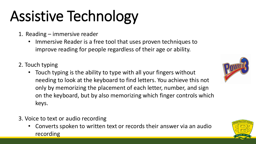# Assistive Technology

- 1. Reading immersive reader
	- Immersive Reader is a free tool that uses proven techniques to improve reading for people regardless of their age or ability.
- 2. Touch typing
	- Touch typing is the ability to type with all your fingers without needing to look at the keyboard to find letters. You achieve this not only by memorizing the placement of each letter, number, and sign on the keyboard, but by also memorizing which finger controls which keys.
- 3. Voice to text or audio recording
	- Converts spoken to written text or records their answer via an audio recording



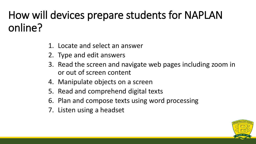## How will devices prepare students for NAPLAN online?

- 1. Locate and select an answer
- 2. Type and edit answers
- 3. Read the screen and navigate web pages including zoom in or out of screen content
- 4. Manipulate objects on a screen
- 5. Read and comprehend digital texts
- 6. Plan and compose texts using word processing
- 7. Listen using a headset